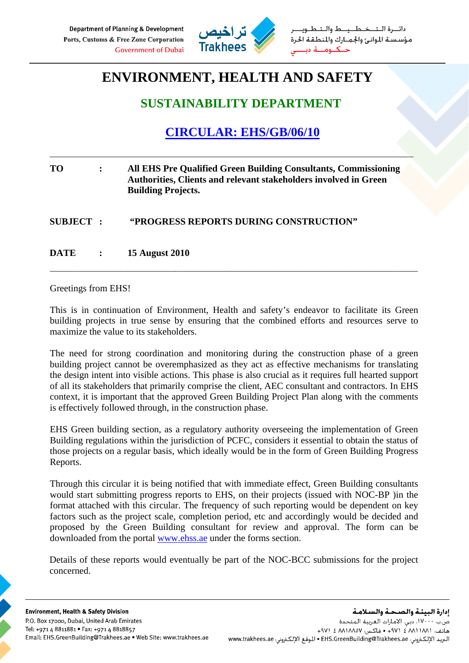

ـط والــتـ مؤسستة الموانئ والجمارك والمنطقة الحرة

# **ENVIRONMENT, HEALTH AND SAFETY**

### **SUSTAINABILITY DEPARTMENT**

## **CIRCULAR: EHS/GB/06/10**

### **TO : All EHS Pre Qualified Green Building Consultants, Commissioning Authorities, Clients and relevant stakeholders involved in Green Building Projects.**

\_\_\_\_\_\_\_\_\_\_\_\_\_\_\_\_\_\_\_\_\_\_\_\_\_\_\_\_\_\_\_\_\_\_\_\_\_\_\_\_\_\_\_\_\_\_\_\_\_\_\_\_\_\_\_\_\_\_\_\_\_\_\_\_\_\_\_\_\_\_\_\_\_\_\_\_\_\_\_\_\_\_\_\_

**SUBJECT : "PROGRESS REPORTS DURING CONSTRUCTION"** 

**DATE : 15 August 2010** 

#### Greetings from EHS!

This is in continuation of Environment, Health and safety's endeavor to facilitate its Green building projects in true sense by ensuring that the combined efforts and resources serve to maximize the value to its stakeholders.

\_\_\_\_\_\_\_\_\_\_\_\_\_\_\_\_\_\_\_\_\_\_\_\_\_\_\_\_\_\_\_\_\_\_\_\_\_\_\_\_\_\_\_\_\_\_\_\_\_\_\_\_\_\_\_\_\_\_\_\_\_\_\_\_\_\_\_\_\_\_\_\_\_\_\_\_\_\_\_\_\_\_\_\_\_

The need for strong coordination and monitoring during the construction phase of a green building project cannot be overemphasized as they act as effective mechanisms for translating the design intent into visible actions. This phase is also crucial as it requires full hearted support of all its stakeholders that primarily comprise the client, AEC consultant and contractors. In EHS context, it is important that the approved Green Building Project Plan along with the comments is effectively followed through, in the construction phase.

EHS Green building section, as a regulatory authority overseeing the implementation of Green Building regulations within the jurisdiction of PCFC, considers it essential to obtain the status of those projects on a regular basis, which ideally would be in the form of Green Building Progress Reports.

Through this circular it is being notified that with immediate effect, Green Building consultants would start submitting progress reports to EHS, on their projects (issued with NOC-BP )in the format attached with this circular. The frequency of such reporting would be dependent on key factors such as the project scale, completion period, etc and accordingly would be decided and proposed by the Green Building consultant for review and approval. The form can be downloaded from the portal www.ehss.ae under the forms section.

Details of these reports would eventually be part of the NOC-BCC submissions for the project concerned.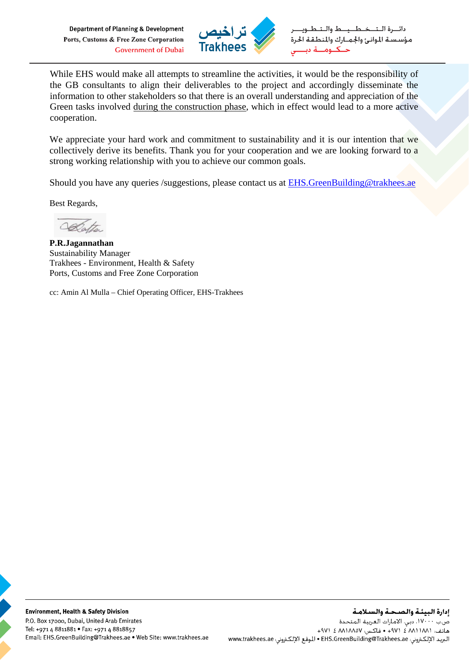Department of Planning & Development Ports, Customs & Free Zone Corporation **Government of Dubai** 



خطيط والت مؤسسة الموانئ والجمارك والمنطقة الحرة حكمه

While EHS would make all attempts to streamline the activities, it would be the responsibility of the GB consultants to align their deliverables to the project and accordingly disseminate the information to other stakeholders so that there is an overall understanding and appreciation of the Green tasks involved during the construction phase, which in effect would lead to a more active cooperation.

We appreciate your hard work and commitment to sustainability and it is our intention that we collectively derive its benefits. Thank you for your cooperation and we are looking forward to a strong working relationship with you to achieve our common goals.

Should you have any queries /suggestions, please contact us at EHS.GreenBuilding@trakhees.ae

Best Regards,

Clatter

**P.R.Jagannathan**  Sustainability Manager Trakhees - Environment, Health & Safety Ports, Customs and Free Zone Corporation

cc: Amin Al Mulla – Chief Operating Officer, EHS-Trakhees

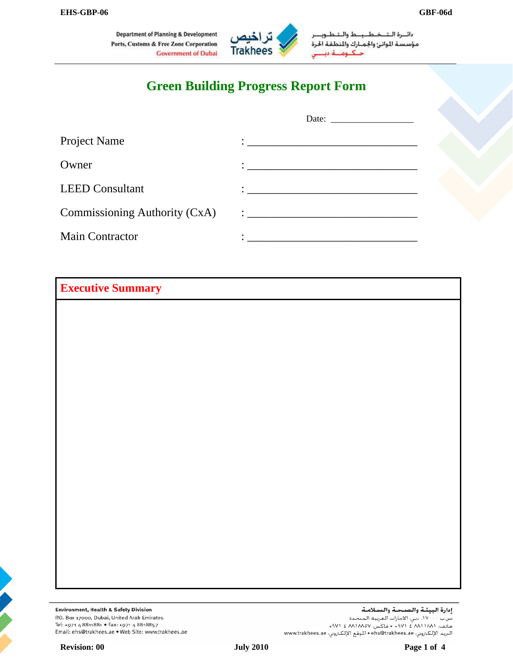**Department of Planning & Development** Ports, Customs & Free Zone Corporation **Government of Dubai** 



دائسرة التتخطيبط والت مؤسسة الوانئ والجمارك والمطفة الحرة حـکــومـــة ديـ

## **Green Building Progress Report Form**

| Project Name                  |  |
|-------------------------------|--|
| Owner                         |  |
| <b>LEED Consultant</b>        |  |
| Commissioning Authority (CxA) |  |
| <b>Main Contractor</b>        |  |

**Executive Summary** 



Environment, Health & Safety Division P.O. Box 17000, Dubai, United Arab Emirates Tel: +971 4 8811881 • Fax: +971 4 8818857 Email: ehs@trakhees.ae . Web Site: www.trakhees.ae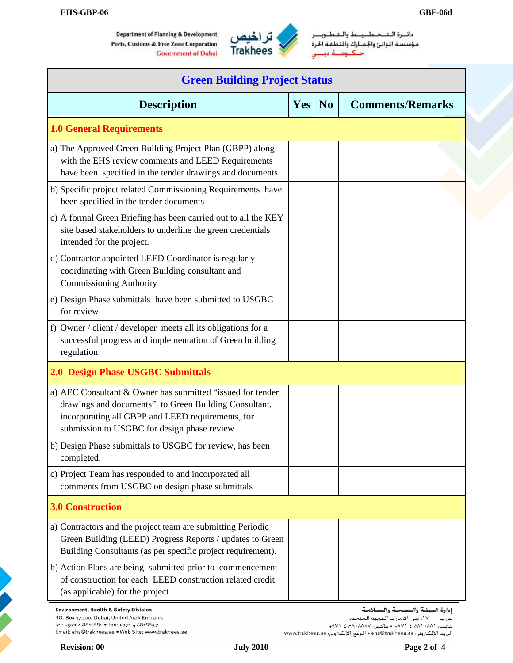

دائسرة التنخيط يبيط والشط مؤسسة الموانئ والجمـارك والمنطقة الحرة حكاؤهشة دينا س

| <b>Green Building Project Status</b>                                                                                                                                                                                    |            |                |                                   |  |
|-------------------------------------------------------------------------------------------------------------------------------------------------------------------------------------------------------------------------|------------|----------------|-----------------------------------|--|
| <b>Description</b>                                                                                                                                                                                                      | <b>Yes</b> | N <sub>0</sub> | <b>Comments/Remarks</b>           |  |
| <b>1.0 General Requirements</b>                                                                                                                                                                                         |            |                |                                   |  |
| a) The Approved Green Building Project Plan (GBPP) along<br>with the EHS review comments and LEED Requirements<br>have been specified in the tender drawings and documents                                              |            |                |                                   |  |
| b) Specific project related Commissioning Requirements have<br>been specified in the tender documents                                                                                                                   |            |                |                                   |  |
| c) A formal Green Briefing has been carried out to all the KEY<br>site based stakeholders to underline the green credentials<br>intended for the project.                                                               |            |                |                                   |  |
| d) Contractor appointed LEED Coordinator is regularly<br>coordinating with Green Building consultant and<br><b>Commissioning Authority</b>                                                                              |            |                |                                   |  |
| e) Design Phase submittals have been submitted to USGBC<br>for review                                                                                                                                                   |            |                |                                   |  |
| f) Owner / client / developer meets all its obligations for a<br>successful progress and implementation of Green building<br>regulation                                                                                 |            |                |                                   |  |
| <b>2.0 Design Phase USGBC Submittals</b>                                                                                                                                                                                |            |                |                                   |  |
| a) AEC Consultant & Owner has submitted "issued for tender<br>drawings and documents" to Green Building Consultant,<br>incorporating all GBPP and LEED requirements, for<br>submission to USGBC for design phase review |            |                |                                   |  |
| b) Design Phase submittals to USGBC for review, has been<br>completed.                                                                                                                                                  |            |                |                                   |  |
| c) Project Team has responded to and incorporated all<br>comments from USGBC on design phase submittals                                                                                                                 |            |                |                                   |  |
| <b>3.0 Construction</b>                                                                                                                                                                                                 |            |                |                                   |  |
| a) Contractors and the project team are submitting Periodic<br>Green Building (LEED) Progress Reports / updates to Green<br>Building Consultants (as per specific project requirement).                                 |            |                |                                   |  |
| b) Action Plans are being submitted prior to commencement<br>of construction for each LEED construction related credit<br>(as applicable) for the project                                                               |            |                |                                   |  |
| <b>Environment, Health &amp; Safety Division</b>                                                                                                                                                                        |            |                | إدارة البيئـة والصـحـة والسـلامـة |  |

ومارو (مبيسة واستنفاضة واستنفاضة)<br>ص.ب ١٧٠٠٠، دبي، الأمارات العربية المتحدة<br>هاتف: (١٨١١/٨/ ٤ /١٩٧ • فاكس: ٨٨١/٨/٥٧ ذ ٩٧١ + 4٧١ + مستنفع المستنفع مستنفع مستنفع مستنفع<br>البريد الإلكتروني: http://www.trakhees.ae • الموقع الإلك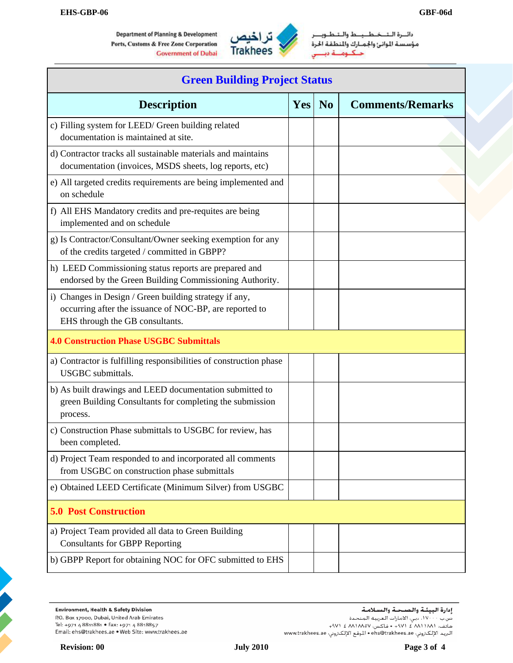

دائسرة النقسخط حط والـــئــط مؤسسة الموانئ والجمارك والمنطقة الحرة حنک ومنبه دیا

| <b>Green Building Project Status</b>                                                                                                                 |            |                |                         |  |
|------------------------------------------------------------------------------------------------------------------------------------------------------|------------|----------------|-------------------------|--|
| <b>Description</b>                                                                                                                                   | <b>Yes</b> | N <sub>0</sub> | <b>Comments/Remarks</b> |  |
| c) Filling system for LEED/ Green building related<br>documentation is maintained at site.                                                           |            |                |                         |  |
| d) Contractor tracks all sustainable materials and maintains<br>documentation (invoices, MSDS sheets, log reports, etc)                              |            |                |                         |  |
| e) All targeted credits requirements are being implemented and<br>on schedule                                                                        |            |                |                         |  |
| f) All EHS Mandatory credits and pre-requites are being<br>implemented and on schedule                                                               |            |                |                         |  |
| g) Is Contractor/Consultant/Owner seeking exemption for any<br>of the credits targeted / committed in GBPP?                                          |            |                |                         |  |
| h) LEED Commissioning status reports are prepared and<br>endorsed by the Green Building Commissioning Authority.                                     |            |                |                         |  |
| i) Changes in Design / Green building strategy if any,<br>occurring after the issuance of NOC-BP, are reported to<br>EHS through the GB consultants. |            |                |                         |  |
| <b>4.0 Construction Phase USGBC Submittals</b>                                                                                                       |            |                |                         |  |
| a) Contractor is fulfilling responsibilities of construction phase<br><b>USGBC</b> submittals.                                                       |            |                |                         |  |
| b) As built drawings and LEED documentation submitted to<br>green Building Consultants for completing the submission<br>process.                     |            |                |                         |  |
| c) Construction Phase submittals to USGBC for review, has<br>been completed.                                                                         |            |                |                         |  |
| d) Project Team responded to and incorporated all comments<br>from USGBC on construction phase submittals                                            |            |                |                         |  |
| e) Obtained LEED Certificate (Minimum Silver) from USGBC                                                                                             |            |                |                         |  |
| <b>5.0 Post Construction</b>                                                                                                                         |            |                |                         |  |
| a) Project Team provided all data to Green Building<br><b>Consultants for GBPP Reporting</b>                                                         |            |                |                         |  |
| b) GBPP Report for obtaining NOC for OFC submitted to EHS                                                                                            |            |                |                         |  |